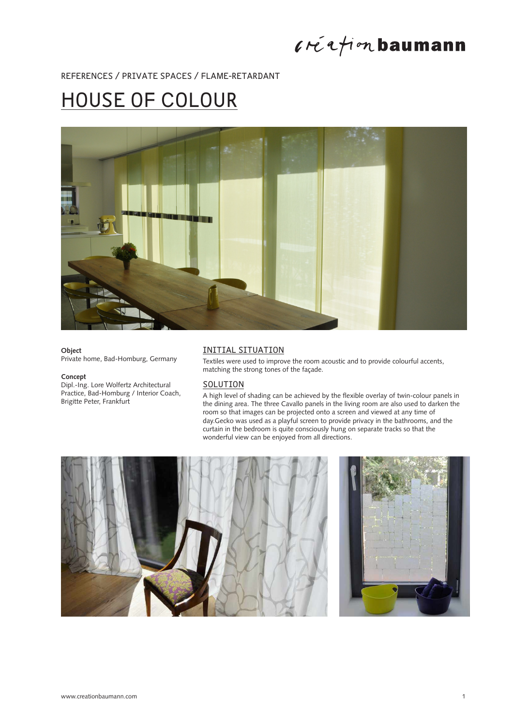

## REFERENCES / PRIVATE SPACES / FLAME-RETARDANT

## HOUSE OF COLOUR



#### **Object**

Private home, Bad-Homburg, Germany

#### **Concept**

Dipl.-Ing. Lore Wolfertz Architectural Practice, Bad-Homburg / Interior Coach, Brigitte Peter, Frankfurt

#### INITIAL SITUATION

Textiles were used to improve the room acoustic and to provide colourful accents, matching the strong tones of the façade.

## SOLUTION

A high level of shading can be achieved by the flexible overlay of twin-colour panels in the dining area. The three Cavallo panels in the living room are also used to darken the room so that images can be projected onto a screen and viewed at any time of day.Gecko was used as a playful screen to provide privacy in the bathrooms, and the curtain in the bedroom is quite consciously hung on separate tracks so that the wonderful view can be enjoyed from all directions.